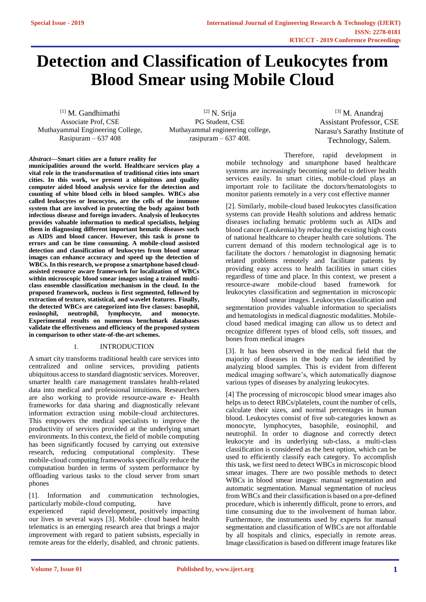# **Detection and Classification of Leukocytes from Blood Smear using Mobile Cloud**

[1] M. Gandhimathi Associate Prof, CSE Muthayammal Engineering College, Rasipuram – 637 408

 $[2]$  N. Srija PG Student, CSE Muthayammal engineering college, rasipuram – 637 408.

[3] M. Anandraj Assistant Professor, CSE Narasu's Sarathy Institute of Technology, Salem.

#### *Abstract***—Smart cities are a future reality for**

**municipalities around the world. Healthcare services play a vital role in the transformation of traditional cities into smart cities. In this work, we present a ubiquitous and quality computer aided blood analysis service for the detection and counting of white blood cells in blood samples. WBCs also called leukocytes or leucocytes, are the cells of the immune system that are involved in protecting the body against both infectious disease and foreign invaders. Analysis of leukocytes provides valuable information to medical specialists, helping them in diagnosing different important hematic diseases such as AIDS and blood cancer. However, this task is prone to errors and can be time consuming. A mobile-cloud assisted detection and classification of leukocytes from blood smear images can enhance accuracy and speed up the detection of WBCs. In this research, we propose a smartphone based cloudassisted resource aware framework for localization of WBCs within microscopic blood smear images using a trained multiclass ensemble classification mechanism in the cloud. In the proposed framework, nucleus is first segmented, followed by extraction of texture, statistical, and wavelet features. Finally, the detected WBCs are categorized into five classes: basophil, eosinophil, neutrophil, lymphocyte, and monocyte. Experimental results on numerous benchmark databases validate the effectiveness and efficiency of the proposed system in comparison to other state-of-the-art schemes.**

#### I. INTRODUCTION

A smart city transforms traditional health care services into centralized and online services, providing patients ubiquitous access to standard diagnostic services. Moreover, smarter health care management translates health-related data into medical and professional intuitions. Researchers are also working to provide resource-aware e- Health frameworks for data sharing and diagnostically relevant information extraction using mobile-cloud architectures. This empowers the medical specialists to improve the productivity of services provided at the underlying smart environments. In this context, the field of mobile computing has been significantly focused by carrying out extensive research, reducing computational complexity. These mobile-cloud computing frameworks specifically reduce the computation burden in terms of system performance by offloading various tasks to the cloud server from smart phones

[1]. Information and communication technologies, particularly mobile-cloud computing, have experienced rapid development, positively impacting our lives in several ways [3]. Mobile- cloud based health telematics is an emerging research area that brings a major improvement with regard to patient subsists, especially in remote areas for the elderly, disabled, and chronic patients.

Therefore, rapid development in mobile technology and smartphone based healthcare systems are increasingly becoming useful to deliver health services easily. In smart cities, mobile-cloud plays an important role to facilitate the doctors/hematologists to monitor patients remotely in a very cost effective manner

[2]. Similarly, mobile-cloud based leukocytes classification systems can provide Health solutions and address hematic diseases including hematic problems such as AIDs and blood cancer (Leukemia) by reducing the existing high costs of national healthcare to cheaper health care solutions. The current demand of this modern technological age is to facilitate the doctors / hematologist in diagnosing hematic related problems remotely and facilitate patients by providing easy access to health facilities in smart cities regardless of time and place. In this context, we present a resource-aware mobile-cloud based framework for leukocytes classification and segmentation in microscopic

blood smear images. Leukocytes classification and segmentation provides valuable information to specialists and hematologists in medical diagnostic modalities. Mobilecloud based medical imaging can allow us to detect and recognize different types of blood cells, soft tissues, and bones from medical images

[3]. It has been observed in the medical field that the majority of diseases in the body can be identified by analyzing blood samples. This is evident from different medical imaging software's, which automatically diagnose various types of diseases by analyzing leukocytes.

[4] The processing of microscopic blood smear images also helps us to detect RBCs/platelets, count the number of cells, calculate their sizes, and normal percentages in human blood. Leukocytes consist of five sub-categories known as monocyte, lymphocytes, basophile, eosinophil, and neutrophil. In order to diagnose and correctly detect leukocyte and its underlying sub-class, a multi-class classification is considered as the best option, which can be used to efficiently classify each category. To accomplish this task, we first need to detect WBCs in microscopic blood smear images. There are two possible methods to detect WBCs in blood smear images: manual segmentation and automatic segmentation. Manual segmentation of nucleus from WBCs and their classification is based on a pre-defined procedure, which is inherently difficult, prone to errors, and time consuming due to the involvement of human labor. Furthermore, the instruments used by experts for manual segmentation and classification of WBCs are not affordable by all hospitals and clinics, especially in remote areas. Image classification is based on different image features like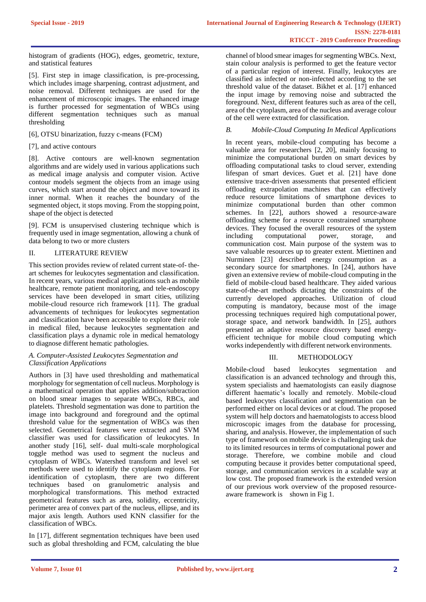histogram of gradients (HOG), edges, geometric, texture, and statistical features

[5]. First step in image classification, is pre-processing, which includes image sharpening, contrast adjustment, and noise removal. Different techniques are used for the enhancement of microscopic images. The enhanced image is further processed for segmentation of WBCs using different segmentation techniques such as manual thresholding

[6], OTSU binarization, fuzzy c-means (FCM)

[7], and active contours

[8]. Active contours are well-known segmentation algorithms and are widely used in various applications such as medical image analysis and computer vision. Active contour models segment the objects from an image using curves, which start around the object and move toward its inner normal. When it reaches the boundary of the segmented object, it stops moving. From the stopping point, shape of the object is detected

[9]. FCM is unsupervised clustering technique which is frequently used in image segmentation, allowing a chunk of data belong to two or more clusters

#### II. LITERATURE REVIEW

This section provides review of related current state-of- theart schemes for leukocytes segmentation and classification. In recent years, various medical applications such as mobile healthcare, remote patient monitoring, and tele-endoscopy services have been developed in smart cities, utilizing mobile-cloud resource rich framework [11]. The gradual advancements of techniques for leukocytes segmentation and classification have been accessible to explore their role in medical filed, because leukocytes segmentation and classification plays a dynamic role in medical hematology to diagnose different hematic pathologies.

#### *A. Computer-Assisted Leukocytes Segmentation and Classification Applications*

Authors in [3] have used thresholding and mathematical morphology for segmentation of cell nucleus. Morphology is a mathematical operation that applies addition/subtraction on blood smear images to separate WBCs, RBCs, and platelets. Threshold segmentation was done to partition the image into background and foreground and the optimal threshold value for the segmentation of WBCs was then selected. Geometrical features were extracted and SVM classifier was used for classification of leukocytes. In another study [16], self- dual multi-scale morphological toggle method was used to segment the nucleus and cytoplasm of WBCs. Watershed transform and level set methods were used to identify the cytoplasm regions. For identification of cytoplasm, there are two different techniques based on granulometric analysis and morphological transformations. This method extracted geometrical features such as area, solidity, eccentricity, perimeter area of convex part of the nucleus, ellipse, and its major axis length. Authors used KNN classifier for the classification of WBCs.

In [17], different segmentation techniques have been used such as global thresholding and FCM, calculating the blue channel of blood smear images for segmenting WBCs. Next, stain colour analysis is performed to get the feature vector of a particular region of interest. Finally, leukocytes are classified as infected or non-infected according to the set threshold value of the dataset. Bikhet et al. [17] enhanced the input image by removing noise and subtracted the foreground. Next, different features such as area of the cell, area of the cytoplasm, area of the nucleus and average colour of the cell were extracted for classification.

#### *B. Mobile-Cloud Computing In Medical Applications*

In recent years, mobile-cloud computing has become a valuable area for researchers [2, 20], mainly focusing to minimize the computational burden on smart devices by offloading computational tasks to cloud server, extending lifespan of smart devices. Guet et al. [21] have done extensive trace-driven assessments that presented efficient offloading extrapolation machines that can effectively reduce resource limitations of smartphone devices to minimize computational burden than other common schemes. In [22], authors showed a resource-aware offloading scheme for a resource constrained smartphone devices. They focused the overall resources of the system including computational power, storage, and communication cost. Main purpose of the system was to save valuable resources up to greater extent. Miettinen and Nurminen [23] described energy consumption as a secondary source for smartphones. In [24], authors have given an extensive review of mobile-cloud computing in the field of mobile-cloud based healthcare. They aided various state-of-the-art methods dictating the constraints of the currently developed approaches. Utilization of cloud computing is mandatory, because most of the image processing techniques required high computational power, storage space, and network bandwidth. In [25], authors presented an adaptive resource discovery based energyefficient technique for mobile cloud computing which works independently with different network environments.

## III. METHODOLOGY

Mobile-cloud based leukocytes segmentation and classification is an advanced technology and through this, system specialists and haematologists can easily diagnose different haematic's locally and remotely. Mobile-cloud based leukocytes classification and segmentation can be performed either on local devices or at cloud. The proposed system will help doctors and haematologists to access blood microscopic images from the database for processing, sharing, and analysis. However, the implementation of such type of framework on mobile device is challenging task due to its limited resources in terms of computational power and storage. Therefore, we combine mobile and cloud computing because it provides better computational speed, storage, and communication services in a scalable way at low cost. The proposed framework is the extended version of our previous work overview of the proposed resourceaware framework is shown in Fig 1.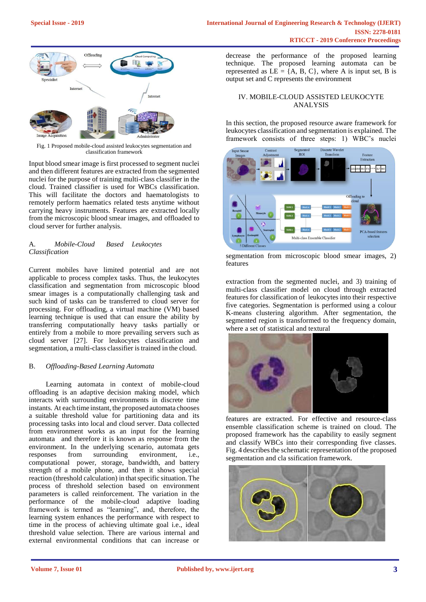

Fig. 1 Proposed mobile-cloud assisted leukocytes segmentation and classification framework

Input blood smear image is first processed to segment nuclei and then different features are extracted from the segmented nuclei for the purpose of training multi-class classifier in the cloud. Trained classifier is used for WBCs classification. This will facilitate the doctors and haematologists to remotely perform haematics related tests anytime without carrying heavy instruments. Features are extracted locally from the microscopic blood smear images, and offloaded to cloud server for further analysis.

## A. *Mobile-Cloud Based Leukocytes Classification*

Current mobiles have limited potential and are not applicable to process complex tasks. Thus, the leukocytes classification and segmentation from microscopic blood smear images is a computationally challenging task and such kind of tasks can be transferred to cloud server for processing. For offloading, a virtual machine (VM) based learning technique is used that can ensure the ability by transferring computationally heavy tasks partially or entirely from a mobile to more prevailing servers such as cloud server [27]. For leukocytes classification and segmentation, a multi-class classifier is trained in the cloud.

## B. *Offloading-Based Learning Automata*

Learning automata in context of mobile-cloud offloading is an adaptive decision making model, which interacts with surrounding environments in discrete time instants. At each time instant, the proposed automata chooses a suitable threshold value for partitioning data and its processing tasks into local and cloud server. Data collected from environment works as an input for the learning automata and therefore it is known as response from the environment. In the underlying scenario, automata gets responses from surrounding environment, i.e., computational power, storage, bandwidth, and battery strength of a mobile phone, and then it shows special reaction (threshold calculation) in that specific situation. The process of threshold selection based on environment parameters is called reinforcement. The variation in the performance of the mobile-cloud adaptive loading framework is termed as "learning", and, therefore, the learning system enhances the performance with respect to time in the process of achieving ultimate goal i.e., ideal threshold value selection. There are various internal and external environmental conditions that can increase or

decrease the performance of the proposed learning technique. The proposed learning automata can be represented as  $LE = \{A, B, C\}$ , where A is input set, B is output set and C represents the environment

## IV. MOBILE-CLOUD ASSISTED LEUKOCYTE ANALYSIS

In this section, the proposed resource aware framework for leukocytes classification and segmentation is explained. The framework consists of three steps: 1) WBC's nuclei



segmentation from microscopic blood smear images, 2) features

extraction from the segmented nuclei, and 3) training of multi-class classifier model on cloud through extracted features for classification of leukocytes into their respective five categories. Segmentation is performed using a colour K-means clustering algorithm. After segmentation, the segmented region is transformed to the frequency domain, where a set of statistical and textural



features are extracted. For effective and resource-class ensemble classification scheme is trained on cloud. The proposed framework has the capability to easily segment and classify WBCs into their corresponding five classes. Fig. 4 describes the schematic representation of the proposed segmentation and cla ssification framework.

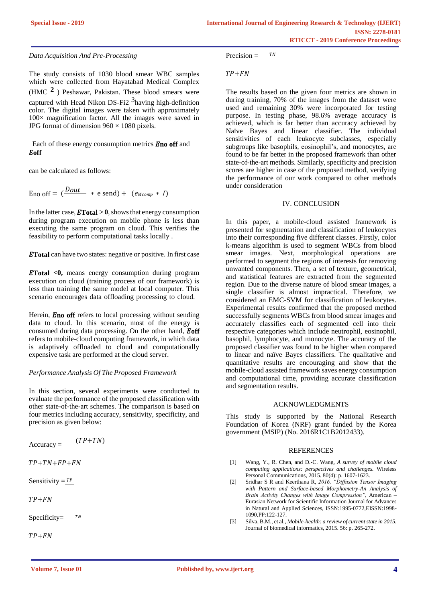#### *Data Acquisition And Pre-Processing*

The study consists of 1030 blood smear WBC samples which were collected from Hayatabad Medical Complex (HMC **2** ) Peshawar, Pakistan. These blood smears were captured with Head Nikon DS-Fi2  $3$ having high-definition color. The digital images were taken with approximately  $100\times$  magnification factor. All the images were saved in JPG format of dimension  $960 \times 1080$  pixels.

## Each of these energy consumption metrics  $\boldsymbol{E}$  no off and **off**

can be calculated as follows:

$$
E_{\text{NO off}} = \left(\frac{D_{\text{out}}}{\sqrt{D_{\text{tot}}}} * \text{e send}\right) + \left(\text{e}_{\text{Mcomp}} * I\right)
$$

In the latter case,  $ETotal > 0$ , shows that energy consumption during program execution on mobile phone is less than executing the same program on cloud. This verifies the feasibility to perform computational tasks locally .

**Total** can have two states: negative or positive. In first case

**Total <0,** means energy consumption during program execution on cloud (training process of our framework) is less than training the same model at local computer. This scenario encourages data offloading processing to cloud.

Herein, **Eno off** refers to local processing without sending data to cloud. In this scenario, most of the energy is consumed during data processing. On the other hand, **Eoff** refers to mobile-cloud computing framework, in which data is adaptively offloaded to cloud and computationally expensive task are performed at the cloud server.

## *Performance Analysis Of The Proposed Framework*

In this section, several experiments were conducted to evaluate the performance of the proposed classification with other state-of-the-art schemes. The comparison is based on four metrics including accuracy, sensitivity, specificity, and precision as given below:

 $Accuracy =$  $(TP+TN)$ 

 $TP+TN+FP+FN$ 

Sensitivity  $=$   $\frac{TP}{P}$ 

 $TP+FN$ 

Specificity=  $^{TN}$ 

 $TP+FN$ 

Precision =  $^{TN}$ 

## $TP+FN$

The results based on the given four metrics are shown in during training, 70% of the images from the dataset were used and remaining 30% were incorporated for testing purpose. In testing phase, 98.6% average accuracy is achieved, which is far better than accuracy achieved by Naïve Bayes and linear classifier. The individual sensitivities of each leukocyte subclasses, especially subgroups like basophils, eosinophil's, and monocytes, are found to be far better in the proposed framework than other state-of-the-art methods. Similarly, specificity and precision scores are higher in case of the proposed method, verifying the performance of our work compared to other methods under consideration

#### IV. CONCLUSION

In this paper, a mobile-cloud assisted framework is presented for segmentation and classification of leukocytes into their corresponding five different classes. Firstly, color k-means algorithm is used to segment WBCs from blood smear images. Next, morphological operations are performed to segment the regions of interests for removing unwanted components. Then, a set of texture, geometrical, and statistical features are extracted from the segmented region. Due to the diverse nature of blood smear images, a single classifier is almost impractical. Therefore, we considered an EMC-SVM for classification of leukocytes. Experimental results confirmed that the proposed method successfully segments WBCs from blood smear images and accurately classifies each of segmented cell into their respective categories which include neutrophil, eosinophil, basophil, lymphocyte, and monocyte. The accuracy of the proposed classifier was found to be higher when compared to linear and naïve Bayes classifiers. The qualitative and quantitative results are encouraging and show that the mobile-cloud assisted framework saves energy consumption and computational time, providing accurate classification and segmentation results.

#### ACKNOWLEDGMENTS

This study is supported by the National Research Foundation of Korea (NRF) grant funded by the Korea government (MSIP) (No. 2016R1C1B2012433).

#### REFERENCES

- [1] Wang, Y., R. Chen, and D.-C. Wang, *A survey of mobile cloud computing applications: perspectives and challenges.* Wireless Personal Communications, 2015. 80(4): p. 1607-1623.
- [2] Sridhar S R and Keerthana R, *2016, "Diffusion Tensor Imaging with Pattern and Surface-based Morphometry-An Analysis of Brain Activity Changes with Image Compression",* American – Eurasian Network for Scientific Information Journal for Advances in Natural and Applied Sciences, ISSN:1995-0772,EISSN:1998- 1090,PP:122-127.
- [3] Silva, B.M., et al., *Mobile-health: a review of current state in 2015.*  Journal of biomedical informatics, 2015. 56: p. 265-272.